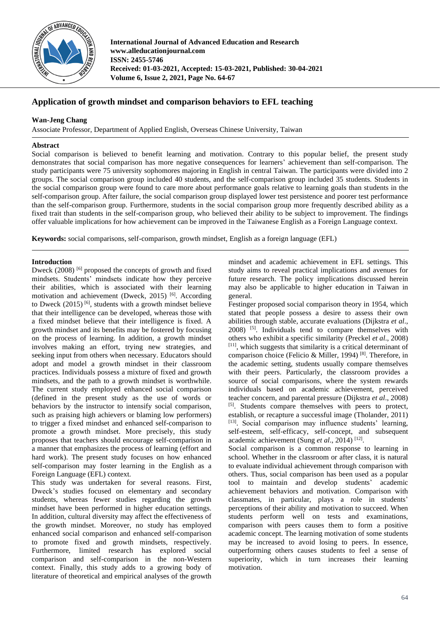

**International Journal of Advanced Education and Research www.alleducationjournal.com ISSN: 2455-5746 Received: 01-03-2021, Accepted: 15-03-2021, Published: 30-04-2021 Volume 6, Issue 2, 2021, Page No. 64-67**

# **Application of growth mindset and comparison behaviors to EFL teaching**

# **Wan-Jeng Chang**

Associate Professor, Department of Applied English, Overseas Chinese University, Taiwan

## **Abstract**

Social comparison is believed to benefit learning and motivation. Contrary to this popular belief, the present study demonstrates that social comparison has more negative consequences for learners' achievement than self-comparison. The study participants were 75 university sophomores majoring in English in central Taiwan. The participants were divided into 2 groups. The social comparison group included 40 students, and the self-comparison group included 35 students. Students in the social comparison group were found to care more about performance goals relative to learning goals than students in the self-comparison group. After failure, the social comparison group displayed lower test persistence and poorer test performance than the self-comparison group. Furthermore, students in the social comparison group more frequently described ability as a fixed trait than students in the self-comparison group, who believed their ability to be subject to improvement. The findings offer valuable implications for how achievement can be improved in the Taiwanese English as a Foreign Language context.

**Keywords:** social comparisons, self-comparison, growth mindset, English as a foreign language (EFL)

## **Introduction**

Dweck (2008) [6] proposed the concepts of growth and fixed mindsets. Students' mindsets indicate how they perceive their abilities, which is associated with their learning motivation and achievement (Dweck, 2015)<sup>[6]</sup>. According to Dweck  $(2015)$ <sup>[6]</sup>, students with a growth mindset believe that their intelligence can be developed, whereas those with a fixed mindset believe that their intelligence is fixed. A growth mindset and its benefits may be fostered by focusing on the process of learning. In addition, a growth mindset involves making an effort, trying new strategies, and seeking input from others when necessary. Educators should adopt and model a growth mindset in their classroom practices. Individuals possess a mixture of fixed and growth mindsets, and the path to a growth mindset is worthwhile. The current study employed enhanced social comparison (defined in the present study as the use of words or behaviors by the instructor to intensify social comparison, such as praising high achievers or blaming low performers) to trigger a fixed mindset and enhanced self-comparison to promote a growth mindset. More precisely, this study proposes that teachers should encourage self-comparison in a manner that emphasizes the process of learning (effort and hard work). The present study focuses on how enhanced self-comparison may foster learning in the English as a Foreign Language (EFL) context.

This study was undertaken for several reasons. First, Dweck's studies focused on elementary and secondary students, whereas fewer studies regarding the growth mindset have been performed in higher education settings. In addition, cultural diversity may affect the effectiveness of the growth mindset. Moreover, no study has employed enhanced social comparison and enhanced self-comparison to promote fixed and growth mindsets, respectively. Furthermore, limited research has explored social comparison and self-comparison in the non-Western context. Finally, this study adds to a growing body of literature of theoretical and empirical analyses of the growth

mindset and academic achievement in EFL settings. This study aims to reveal practical implications and avenues for future research. The policy implications discussed herein may also be applicable to higher education in Taiwan in general.

Festinger proposed social comparison theory in 1954, which stated that people possess a desire to assess their own abilities through stable, accurate evaluations (Dijkstra *et al*., 2008) [5] . Individuals tend to compare themselves with others who exhibit a specific similarity (Preckel *et al*., 2008) [11], which suggests that similarity is a critical determinant of comparison choice (Felicio & Miller, 1994)<sup>[8]</sup>. Therefore, in the academic setting, students usually compare themselves with their peers. Particularly, the classroom provides a source of social comparisons, where the system rewards individuals based on academic achievement, perceived teacher concern, and parental pressure (Dijkstra *et al*., 2008) [5]. Students compare themselves with peers to protect, establish, or recapture a successful image (Tholander, 2011) [13]. Social comparison may influence students' learning, self-esteem, self-efficacy, self-concept, and subsequent academic achievement (Sung et al., 2014)<sup>[12]</sup>.

Social comparison is a common response to learning in school. Whether in the classroom or after class, it is natural to evaluate individual achievement through comparison with others. Thus, social comparison has been used as a popular tool to maintain and develop students' academic achievement behaviors and motivation. Comparison with classmates, in particular, plays a role in students' perceptions of their ability and motivation to succeed. When students perform well on tests and examinations, comparison with peers causes them to form a positive academic concept. The learning motivation of some students may be increased to avoid losing to peers. In essence, outperforming others causes students to feel a sense of superiority, which in turn increases their learning motivation.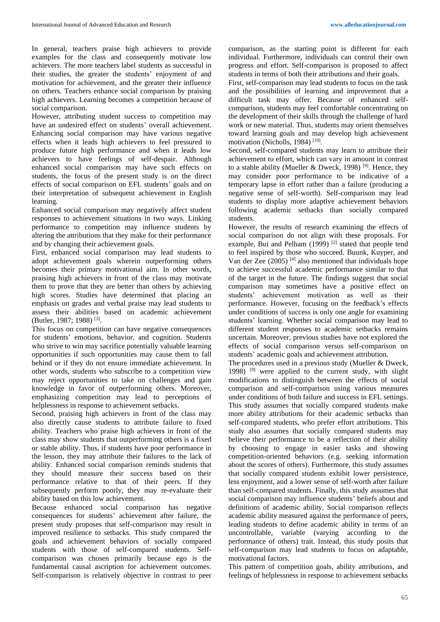In general, teachers praise high achievers to provide examples for the class and consequently motivate low achievers. The more teachers label students as successful in their studies, the greater the students' enjoyment of and motivation for achievement, and the greater their influence on others. Teachers enhance social comparison by praising high achievers. Learning becomes a competition because of social comparison.

However, attributing student success to competition may have an undesired effect on students' overall achievement. Enhancing social comparison may have various negative effects when it leads high achievers to feel pressured to produce future high performance and when it leads low achievers to have feelings of self-despair. Although enhanced social comparison may have such effects on students, the focus of the present study is on the direct effects of social comparison on EFL students' goals and on their interpretation of subsequent achievement in English learning.

Enhanced social comparison may negatively affect student responses to achievement situations in two ways. Linking performance to competition may influence students by altering the attributions that they make for their performance and by changing their achievement goals.

First, enhanced social comparison may lead students to adopt achievement goals wherein outperforming others becomes their primary motivational aim. In other words, praising high achievers in front of the class may motivate them to prove that they are better than others by achieving high scores. Studies have determined that placing an emphasis on grades and verbal praise may lead students to assess their abilities based on academic achievement (Butler, 1987; 1988) [3] .

This focus on competition can have negative consequences for students' emotions, behavior, and cognition. Students who strive to win may sacrifice potentially valuable learning opportunities if such opportunities may cause them to fall behind or if they do not ensure immediate achievement. In other words, students who subscribe to a competition view may reject opportunities to take on challenges and gain knowledge in favor of outperforming others. Moreover, emphasizing competition may lead to perceptions of helplessness in response to achievement setbacks.

Second, praising high achievers in front of the class may also directly cause students to attribute failure to fixed ability. Teachers who praise high achievers in front of the class may show students that outperforming others is a fixed or stable ability. Thus, if students have poor performance in the lesson, they may attribute their failures to the lack of ability. Enhanced social comparison reminds students that they should measure their success based on their performance relative to that of their peers. If they subsequently perform poorly, they may re-evaluate their ability based on this low achievement.

Because enhanced social comparison has negative consequences for students' achievement after failure, the present study proposes that self-comparison may result in improved resilience to setbacks. This study compared the goals and achievement behaviors of socially compared students with those of self-compared students. Selfcomparison was chosen primarily because ego is the fundamental causal ascription for achievement outcomes. Self-comparison is relatively objective in contrast to peer comparison, as the starting point is different for each individual. Furthermore, individuals can control their own progress and effort. Self-comparison is proposed to affect students in terms of both their attributions and their goals.

First, self-comparison may lead students to focus on the task and the possibilities of learning and improvement that a difficult task may offer. Because of enhanced selfcomparison, students may feel comfortable concentrating on the development of their skills through the challenge of hard work or new material. Thus, students may orient themselves toward learning goals and may develop high achievement motivation (Nicholls, 1984)<sup>[10]</sup>.

Second, self-compared students may learn to attribute their achievement to effort, which can vary in amount in contrast to a stable ability (Mueller & Dweck, 1998)<sup>[9]</sup>. Hence, they may consider poor performance to be indicative of a temporary lapse in effort rather than a failure (producing a negative sense of self-worth). Self-comparison may lead students to display more adaptive achievement behaviors following academic setbacks than socially compared students.

However, the results of research examining the effects of social comparison do not align with these proposals. For example, Bui and Pelham (1999)<sup>[2]</sup> stated that people tend to feel inspired by those who succeed. Buunk, Kuyper, and Van der Zee (2005) [4] also mentioned that individuals hope to achieve successful academic performance similar to that of the target in the future. The findings suggest that social comparison may sometimes have a positive effect on students' achievement motivation as well as their performance. However, focusing on the feedback's effects under conditions of success is only one angle for examining students' learning. Whether social comparison may lead to different student responses to academic setbacks remains uncertain. Moreover, previous studies have not explored the effects of social comparison versus self-comparison on students' academic goals and achievement attribution.

The procedures used in a previous study (Mueller & Dweck, 1998)  $[9]$  were applied to the current study, with slight modifications to distinguish between the effects of social comparison and self-comparison using various measures under conditions of both failure and success in EFL settings. This study assumes that socially compared students make more ability attributions for their academic setbacks than self-compared students, who prefer effort attributions. This study also assumes that socially compared students may believe their performance to be a reflection of their ability by choosing to engage in easier tasks and showing competition-oriented behaviors (e.g. seeking information about the scores of others). Furthermore, this study assumes that socially compared students exhibit lower persistence, less enjoyment, and a lower sense of self-worth after failure than self-compared students. Finally, this study assumes that social comparison may influence students' beliefs about and definitions of academic ability. Social comparison reflects academic ability measured against the performance of peers, leading students to define academic ability in terms of an uncontrollable, variable (varying according to the performance of others) trait. Instead, this study posits that self-comparison may lead students to focus on adaptable, motivational factors.

This pattern of competition goals, ability attributions, and feelings of helplessness in response to achievement setbacks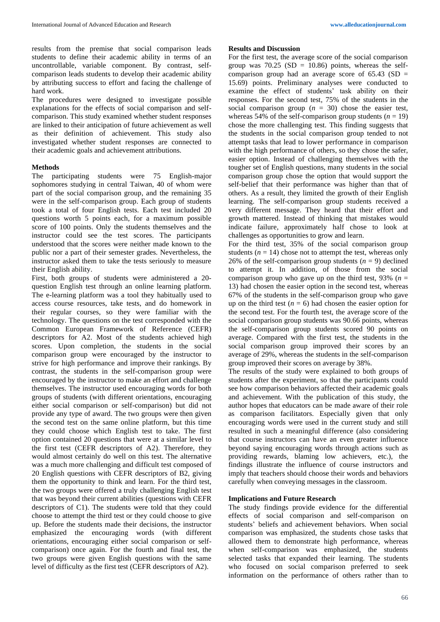results from the premise that social comparison leads students to define their academic ability in terms of an uncontrollable, variable component. By contrast, selfcomparison leads students to develop their academic ability by attributing success to effort and facing the challenge of hard work.

The procedures were designed to investigate possible explanations for the effects of social comparison and selfcomparison. This study examined whether student responses are linked to their anticipation of future achievement as well as their definition of achievement. This study also investigated whether student responses are connected to their academic goals and achievement attributions.

#### **Methods**

The participating students were 75 English-major sophomores studying in central Taiwan, 40 of whom were part of the social comparison group, and the remaining 35 were in the self-comparison group. Each group of students took a total of four English tests. Each test included 20 questions worth 5 points each, for a maximum possible score of 100 points. Only the students themselves and the instructor could see the test scores. The participants understood that the scores were neither made known to the public nor a part of their semester grades. Nevertheless, the instructor asked them to take the tests seriously to measure their English ability.

First, both groups of students were administered a 20 question English test through an online learning platform. The e-learning platform was a tool they habitually used to access course resources, take tests, and do homework in their regular courses, so they were familiar with the technology. The questions on the test corresponded with the Common European Framework of Reference (CEFR) descriptors for A2. Most of the students achieved high scores. Upon completion, the students in the social comparison group were encouraged by the instructor to strive for high performance and improve their rankings. By contrast, the students in the self-comparison group were encouraged by the instructor to make an effort and challenge themselves. The instructor used encouraging words for both groups of students (with different orientations, encouraging either social comparison or self-comparison) but did not provide any type of award. The two groups were then given the second test on the same online platform, but this time they could choose which English test to take. The first option contained 20 questions that were at a similar level to the first test (CEFR descriptors of A2). Therefore, they would almost certainly do well on this test. The alternative was a much more challenging and difficult test composed of 20 English questions with CEFR descriptors of B2, giving them the opportunity to think and learn. For the third test, the two groups were offered a truly challenging English test that was beyond their current abilities (questions with CEFR descriptors of C1). The students were told that they could choose to attempt the third test or they could choose to give up. Before the students made their decisions, the instructor emphasized the encouraging words (with different orientations, encouraging either social comparison or selfcomparison) once again. For the fourth and final test, the two groups were given English questions with the same level of difficulty as the first test (CEFR descriptors of A2).

#### **Results and Discussion**

For the first test, the average score of the social comparison group was  $70.25$  (SD = 10.86) points, whereas the selfcomparison group had an average score of  $65.43$  (SD = 15.69) points. Preliminary analyses were conducted to examine the effect of students' task ability on their responses. For the second test, 75% of the students in the social comparison group  $(n = 30)$  chose the easier test, whereas 54% of the self-comparison group students  $(n = 19)$ chose the more challenging test. This finding suggests that the students in the social comparison group tended to not attempt tasks that lead to lower performance in comparison with the high performance of others, so they chose the safer, easier option. Instead of challenging themselves with the tougher set of English questions, many students in the social comparison group chose the option that would support the self-belief that their performance was higher than that of others. As a result, they limited the growth of their English learning. The self-comparison group students received a very different message. They heard that their effort and growth mattered. Instead of thinking that mistakes would indicate failure, approximately half chose to look at challenges as opportunities to grow and learn.

For the third test, 35% of the social comparison group students  $(n = 14)$  chose not to attempt the test, whereas only 26% of the self-comparison group students  $(n = 9)$  declined to attempt it. In addition, of those from the social comparison group who gave up on the third test, 93% ( $n =$ 13) had chosen the easier option in the second test, whereas 67% of the students in the self-comparison group who gave up on the third test  $(n = 6)$  had chosen the easier option for the second test. For the fourth test, the average score of the social comparison group students was 90.66 points, whereas the self-comparison group students scored 90 points on average. Compared with the first test, the students in the social comparison group improved their scores by an average of 29%, whereas the students in the self-comparison group improved their scores on average by 38%.

The results of the study were explained to both groups of students after the experiment, so that the participants could see how comparison behaviors affected their academic goals and achievement. With the publication of this study, the author hopes that educators can be made aware of their role as comparison facilitators. Especially given that only encouraging words were used in the current study and still resulted in such a meaningful difference (also considering that course instructors can have an even greater influence beyond saying encouraging words through actions such as providing rewards, blaming low achievers, etc.), the findings illustrate the influence of course instructors and imply that teachers should choose their words and behaviors carefully when conveying messages in the classroom.

### **Implications and Future Research**

The study findings provide evidence for the differential effects of social comparison and self-comparison on students' beliefs and achievement behaviors. When social comparison was emphasized, the students chose tasks that allowed them to demonstrate high performance, whereas when self-comparison was emphasized, the students selected tasks that expanded their learning. The students who focused on social comparison preferred to seek information on the performance of others rather than to